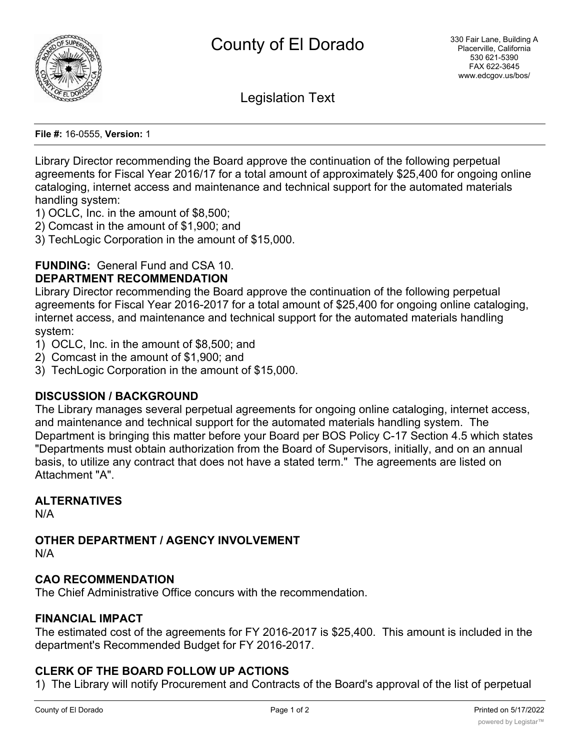

Legislation Text

**File #:** 16-0555, **Version:** 1

Library Director recommending the Board approve the continuation of the following perpetual agreements for Fiscal Year 2016/17 for a total amount of approximately \$25,400 for ongoing online cataloging, internet access and maintenance and technical support for the automated materials handling system:

- 1) OCLC, Inc. in the amount of \$8,500;
- 2) Comcast in the amount of \$1,900; and
- 3) TechLogic Corporation in the amount of \$15,000.

## **FUNDING:** General Fund and CSA 10.

#### **DEPARTMENT RECOMMENDATION**

Library Director recommending the Board approve the continuation of the following perpetual agreements for Fiscal Year 2016-2017 for a total amount of \$25,400 for ongoing online cataloging, internet access, and maintenance and technical support for the automated materials handling system:

- 1) OCLC, Inc. in the amount of \$8,500; and
- 2) Comcast in the amount of \$1,900; and
- 3) TechLogic Corporation in the amount of \$15,000.

### **DISCUSSION / BACKGROUND**

The Library manages several perpetual agreements for ongoing online cataloging, internet access, and maintenance and technical support for the automated materials handling system. The Department is bringing this matter before your Board per BOS Policy C-17 Section 4.5 which states "Departments must obtain authorization from the Board of Supervisors, initially, and on an annual basis, to utilize any contract that does not have a stated term." The agreements are listed on Attachment "A".

## **ALTERNATIVES**

N/A

### **OTHER DEPARTMENT / AGENCY INVOLVEMENT**

N/A

### **CAO RECOMMENDATION**

The Chief Administrative Office concurs with the recommendation.

### **FINANCIAL IMPACT**

The estimated cost of the agreements for FY 2016-2017 is \$25,400. This amount is included in the department's Recommended Budget for FY 2016-2017.

### **CLERK OF THE BOARD FOLLOW UP ACTIONS**

1) The Library will notify Procurement and Contracts of the Board's approval of the list of perpetual